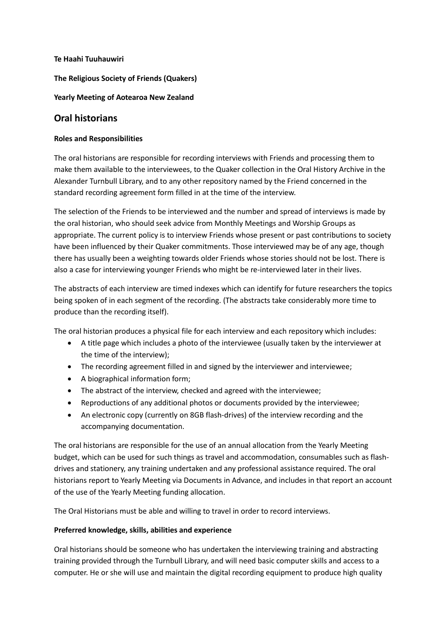#### **Te Haahi Tuuhauwiri**

**The Religious Society of Friends (Quakers)**

**Yearly Meeting of Aotearoa New Zealand**

# **Oral historians**

### **Roles and Responsibilities**

The oral historians are responsible for recording interviews with Friends and processing them to make them available to the interviewees, to the Quaker collection in the Oral History Archive in the Alexander Turnbull Library, and to any other repository named by the Friend concerned in the standard recording agreement form filled in at the time of the interview.

The selection of the Friends to be interviewed and the number and spread of interviews is made by the oral historian, who should seek advice from Monthly Meetings and Worship Groups as appropriate. The current policy is to interview Friends whose present or past contributions to society have been influenced by their Quaker commitments. Those interviewed may be of any age, though there has usually been a weighting towards older Friends whose stories should not be lost. There is also a case for interviewing younger Friends who might be re-interviewed later in their lives.

The abstracts of each interview are timed indexes which can identify for future researchers the topics being spoken of in each segment of the recording. (The abstracts take considerably more time to produce than the recording itself).

The oral historian produces a physical file for each interview and each repository which includes:

- A title page which includes a photo of the interviewee (usually taken by the interviewer at the time of the interview);
- The recording agreement filled in and signed by the interviewer and interviewee;
- A biographical information form;
- The abstract of the interview, checked and agreed with the interviewee;
- Reproductions of any additional photos or documents provided by the interviewee;
- An electronic copy (currently on 8GB flash-drives) of the interview recording and the accompanying documentation.

The oral historians are responsible for the use of an annual allocation from the Yearly Meeting budget, which can be used for such things as travel and accommodation, consumables such as flashdrives and stationery, any training undertaken and any professional assistance required. The oral historians report to Yearly Meeting via Documents in Advance, and includes in that report an account of the use of the Yearly Meeting funding allocation.

The Oral Historians must be able and willing to travel in order to record interviews.

## **Preferred knowledge, skills, abilities and experience**

Oral historians should be someone who has undertaken the interviewing training and abstracting training provided through the Turnbull Library, and will need basic computer skills and access to a computer. He or she will use and maintain the digital recording equipment to produce high quality